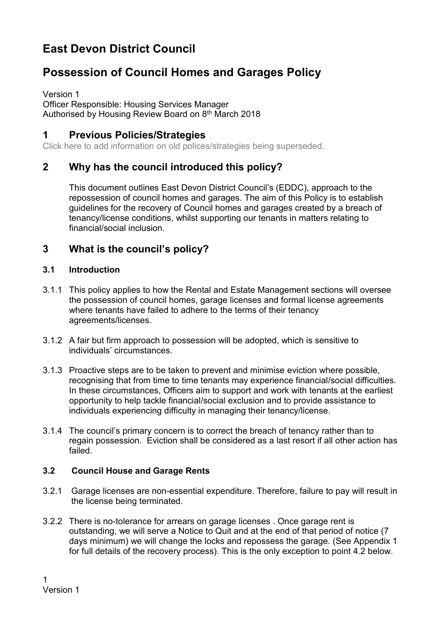# **East Devon District Council**

# **Possession of Council Homes and Garages Policy**

Version 1 Officer Responsible: Housing Services Manager Authorised by Housing Review Board on 8th March 2018

## **1 Previous Policies/Strategies**

Click here to add information on old polices/strategies being superseded.

## **2 Why has the council introduced this policy?**

This document outlines East Devon District Council's (EDDC), approach to the repossession of council homes and garages. The aim of this Policy is to establish guidelines for the recovery of Council homes and garages created by a breach of tenancy/license conditions, whilst supporting our tenants in matters relating to financial/social inclusion.

## **3 What is the council's policy?**

#### **3.1 Introduction**

- 3.1.1 This policy applies to how the Rental and Estate Management sections will oversee the possession of council homes, garage licenses and formal license agreements where tenants have failed to adhere to the terms of their tenancy agreements/licenses.
- 3.1.2 A fair but firm approach to possession will be adopted, which is sensitive to individuals' circumstances.
- 3.1.3 Proactive steps are to be taken to prevent and minimise eviction where possible, recognising that from time to time tenants may experience financial/social difficulties. In these circumstances, Officers aim to support and work with tenants at the earliest opportunity to help tackle financial/social exclusion and to provide assistance to individuals experiencing difficulty in managing their tenancy/license.
- 3.1.4 The council's primary concern is to correct the breach of tenancy rather than to regain possession. Eviction shall be considered as a last resort if all other action has failed.

#### **3.2 Council House and Garage Rents**

- 3.2.1 Garage licenses are non-essential expenditure. Therefore, failure to pay will result in the license being terminated.
- 3.2.2 There is no-tolerance for arrears on garage licenses . Once garage rent is outstanding, we will serve a Notice to Quit and at the end of that period of notice (7 days minimum) we will change the locks and repossess the garage. (See Appendix 1 for full details of the recovery process). This is the only exception to point 4.2 below.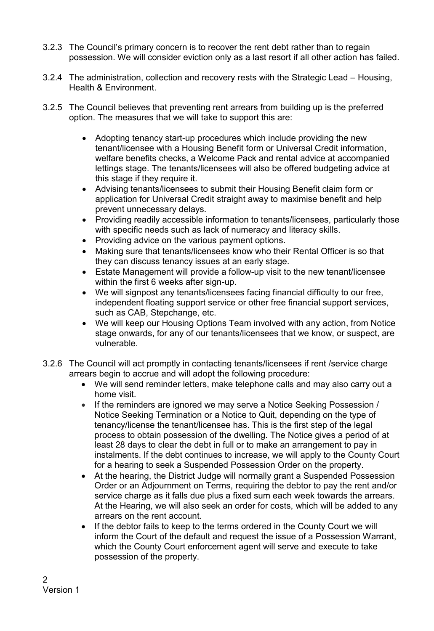- 3.2.3 The Council's primary concern is to recover the rent debt rather than to regain possession. We will consider eviction only as a last resort if all other action has failed.
- 3.2.4 The administration, collection and recovery rests with the Strategic Lead Housing, Health & Environment.
- 3.2.5 The Council believes that preventing rent arrears from building up is the preferred option. The measures that we will take to support this are:
	- Adopting tenancy start-up procedures which include providing the new tenant/licensee with a Housing Benefit form or Universal Credit information, welfare benefits checks, a Welcome Pack and rental advice at accompanied lettings stage. The tenants/licensees will also be offered budgeting advice at this stage if they require it.
	- Advising tenants/licensees to submit their Housing Benefit claim form or application for Universal Credit straight away to maximise benefit and help prevent unnecessary delays.
	- Providing readily accessible information to tenants/licensees, particularly those with specific needs such as lack of numeracy and literacy skills.
	- Providing advice on the various payment options.
	- Making sure that tenants/licensees know who their Rental Officer is so that they can discuss tenancy issues at an early stage.
	- Estate Management will provide a follow-up visit to the new tenant/licensee within the first 6 weeks after sign-up.
	- We will signpost any tenants/licensees facing financial difficulty to our free, independent floating support service or other free financial support services, such as CAB, Stepchange, etc.
	- We will keep our Housing Options Team involved with any action, from Notice stage onwards, for any of our tenants/licensees that we know, or suspect, are vulnerable.
- 3.2.6 The Council will act promptly in contacting tenants/licensees if rent /service charge arrears begin to accrue and will adopt the following procedure:
	- We will send reminder letters, make telephone calls and may also carry out a home visit.
	- If the reminders are ignored we may serve a Notice Seeking Possession / Notice Seeking Termination or a Notice to Quit, depending on the type of tenancy/license the tenant/licensee has. This is the first step of the legal process to obtain possession of the dwelling. The Notice gives a period of at least 28 days to clear the debt in full or to make an arrangement to pay in instalments. If the debt continues to increase, we will apply to the County Court for a hearing to seek a Suspended Possession Order on the property.
	- At the hearing, the District Judge will normally grant a Suspended Possession Order or an Adjournment on Terms, requiring the debtor to pay the rent and/or service charge as it falls due plus a fixed sum each week towards the arrears. At the Hearing, we will also seek an order for costs, which will be added to any arrears on the rent account.
	- If the debtor fails to keep to the terms ordered in the County Court we will inform the Court of the default and request the issue of a Possession Warrant, which the County Court enforcement agent will serve and execute to take possession of the property.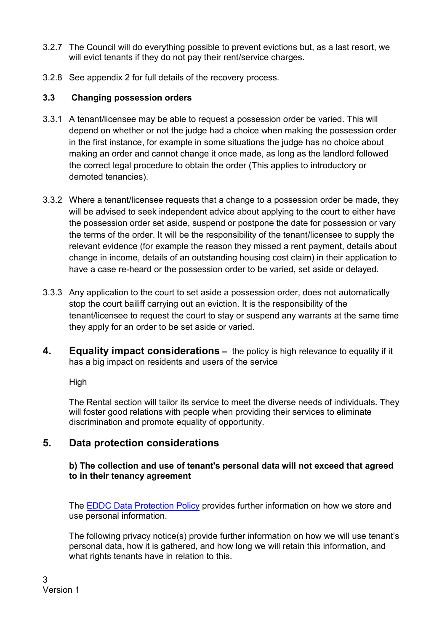- 3.2.7 The Council will do everything possible to prevent evictions but, as a last resort, we will evict tenants if they do not pay their rent/service charges.
- 3.2.8 See appendix 2 for full details of the recovery process.

### **3.3 Changing possession orders**

- 3.3.1 A tenant/licensee may be able to request a possession order be varied. This will depend on whether or not the judge had a choice when making the possession order in the first instance, for example in some situations the judge has no choice about making an order and cannot change it once made, as long as the landlord followed the correct legal procedure to obtain the order (This applies to introductory or demoted tenancies).
- 3.3.2 Where a tenant/licensee requests that a change to a possession order be made, they will be advised to seek independent advice about applying to the court to either have the possession order set aside, suspend or postpone the date for possession or vary the terms of the order. It will be the responsibility of the tenant/licensee to supply the relevant evidence (for example the reason they missed a rent payment, details about change in income, details of an outstanding housing cost claim) in their application to have a case re-heard or the possession order to be varied, set aside or delayed.
- 3.3.3 Any application to the court to set aside a possession order, does not automatically stop the court bailiff carrying out an eviction. It is the responsibility of the tenant/licensee to request the court to stay or suspend any warrants at the same time they apply for an order to be set aside or varied.
- **4. Equality impact considerations –** the policy is high relevance to equality if it has a big impact on residents and users of the service

High

The Rental section will tailor its service to meet the diverse needs of individuals. They will foster good relations with people when providing their services to eliminate discrimination and promote equality of opportunity.

# **5. Data protection considerations**

#### **b) The collection and use of tenant's personal data will not exceed that agreed to in their tenancy agreement**

The **EDDC Data Protection Policy** provides further information on how we store and use personal information.

The following privacy notice(s) provide further information on how we will use tenant's personal data, how it is gathered, and how long we will retain this information, and what rights tenants have in relation to this.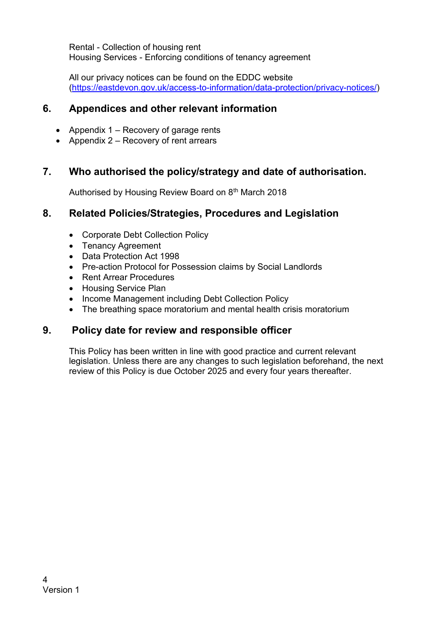Rental - Collection of housing rent Housing Services - Enforcing conditions of tenancy agreement

All our privacy notices can be found on the EDDC website [\(https://eastdevon.gov.uk/access-to-information/data-protection/privacy-notices/\)](https://eastdevon.gov.uk/access-to-information/data-protection/privacy-notices/)

## **6. Appendices and other relevant information**

- Appendix  $1 -$  Recovery of garage rents
- Appendix  $2 -$  Recovery of rent arrears

## **7. Who authorised the policy/strategy and date of authorisation.**

Authorised by Housing Review Board on 8<sup>th</sup> March 2018

## **8. Related Policies/Strategies, Procedures and Legislation**

- Corporate Debt Collection Policy
- Tenancy Agreement
- Data Protection Act 1998
- Pre-action Protocol for Possession claims by Social Landlords
- Rent Arrear Procedures
- Housing Service Plan
- Income Management including Debt Collection Policy
- The breathing space moratorium and mental health crisis moratorium

## **9. Policy date for review and responsible officer**

This Policy has been written in line with good practice and current relevant legislation. Unless there are any changes to such legislation beforehand, the next review of this Policy is due October 2025 and every four years thereafter.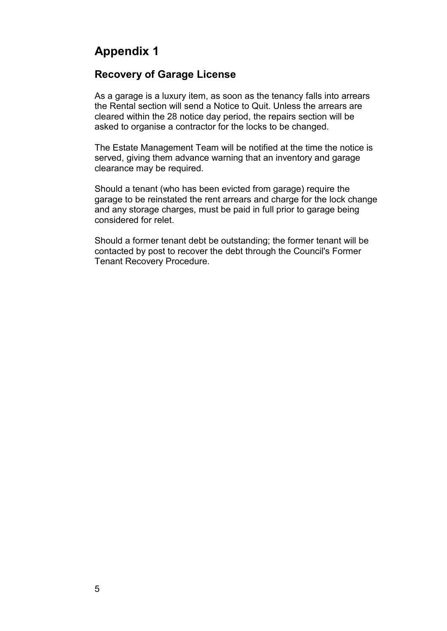# **Appendix 1**

## **Recovery of Garage License**

As a garage is a luxury item, as soon as the tenancy falls into arrears the Rental section will send a Notice to Quit. Unless the arrears are cleared within the 28 notice day period, the repairs section will be asked to organise a contractor for the locks to be changed.

The Estate Management Team will be notified at the time the notice is served, giving them advance warning that an inventory and garage clearance may be required.

Should a tenant (who has been evicted from garage) require the garage to be reinstated the rent arrears and charge for the lock change and any storage charges, must be paid in full prior to garage being considered for relet.

Should a former tenant debt be outstanding; the former tenant will be contacted by post to recover the debt through the Council's Former Tenant Recovery Procedure.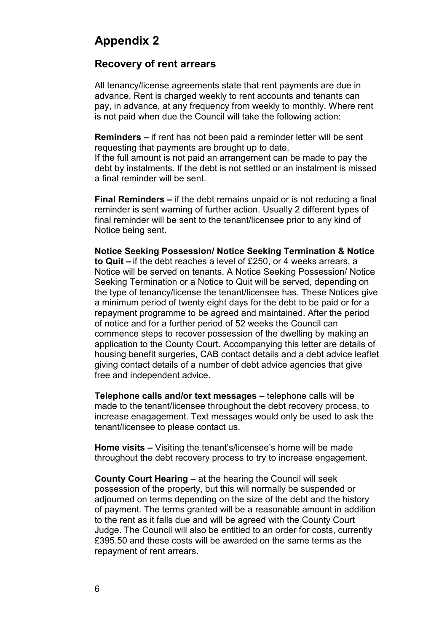# **Appendix 2**

#### **Recovery of rent arrears**

All tenancy/license agreements state that rent payments are due in advance. Rent is charged weekly to rent accounts and tenants can pay, in advance, at any frequency from weekly to monthly. Where rent is not paid when due the Council will take the following action:

**Reminders –** if rent has not been paid a reminder letter will be sent requesting that payments are brought up to date.

If the full amount is not paid an arrangement can be made to pay the debt by instalments. If the debt is not settled or an instalment is missed a final reminder will be sent.

**Final Reminders –** if the debt remains unpaid or is not reducing a final reminder is sent warning of further action. Usually 2 different types of final reminder will be sent to the tenant/licensee prior to any kind of Notice being sent.

**Notice Seeking Possession/ Notice Seeking Termination & Notice to Quit –** if the debt reaches a level of £250, or 4 weeks arrears, a Notice will be served on tenants. A Notice Seeking Possession/ Notice Seeking Termination or a Notice to Quit will be served, depending on the type of tenancy/license the tenant/licensee has. These Notices give a minimum period of twenty eight days for the debt to be paid or for a repayment programme to be agreed and maintained. After the period of notice and for a further period of 52 weeks the Council can commence steps to recover possession of the dwelling by making an application to the County Court. Accompanying this letter are details of housing benefit surgeries, CAB contact details and a debt advice leaflet giving contact details of a number of debt advice agencies that give free and independent advice.

**Telephone calls and/or text messages –** telephone calls will be made to the tenant/licensee throughout the debt recovery process, to increase enagagement. Text messages would only be used to ask the tenant/licensee to please contact us.

**Home visits –** Visiting the tenant's/licensee's home will be made throughout the debt recovery process to try to increase engagement.

**County Court Hearing –** at the hearing the Council will seek possession of the property, but this will normally be suspended or adjourned on terms depending on the size of the debt and the history of payment. The terms granted will be a reasonable amount in addition to the rent as it falls due and will be agreed with the County Court Judge. The Council will also be entitled to an order for costs, currently £395.50 and these costs will be awarded on the same terms as the repayment of rent arrears.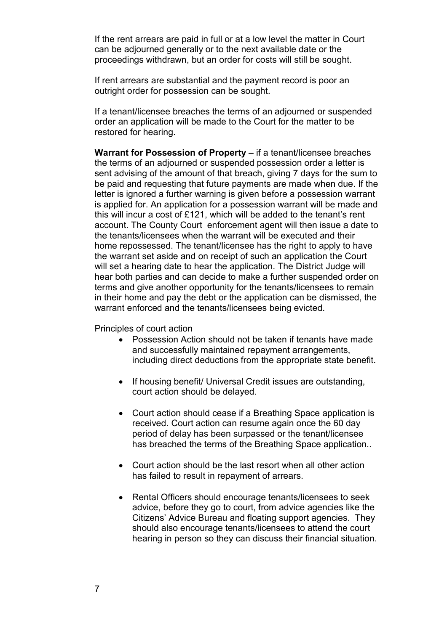If the rent arrears are paid in full or at a low level the matter in Court can be adjourned generally or to the next available date or the proceedings withdrawn, but an order for costs will still be sought.

If rent arrears are substantial and the payment record is poor an outright order for possession can be sought.

If a tenant/licensee breaches the terms of an adjourned or suspended order an application will be made to the Court for the matter to be restored for hearing.

**Warrant for Possession of Property –** if a tenant/licensee breaches the terms of an adjourned or suspended possession order a letter is sent advising of the amount of that breach, giving 7 days for the sum to be paid and requesting that future payments are made when due. If the letter is ignored a further warning is given before a possession warrant is applied for. An application for a possession warrant will be made and this will incur a cost of £121, which will be added to the tenant's rent account. The County Court enforcement agent will then issue a date to the tenants/licensees when the warrant will be executed and their home repossessed. The tenant/licensee has the right to apply to have the warrant set aside and on receipt of such an application the Court will set a hearing date to hear the application. The District Judge will hear both parties and can decide to make a further suspended order on terms and give another opportunity for the tenants/licensees to remain in their home and pay the debt or the application can be dismissed, the warrant enforced and the tenants/licensees being evicted.

Principles of court action

- Possession Action should not be taken if tenants have made and successfully maintained repayment arrangements, including direct deductions from the appropriate state benefit.
- If housing benefit/ Universal Credit issues are outstanding, court action should be delayed.
- Court action should cease if a Breathing Space application is received. Court action can resume again once the 60 day period of delay has been surpassed or the tenant/licensee has breached the terms of the Breathing Space application..
- Court action should be the last resort when all other action has failed to result in repayment of arrears.
- Rental Officers should encourage tenants/licensees to seek advice, before they go to court, from advice agencies like the Citizens' Advice Bureau and floating support agencies. They should also encourage tenants/licensees to attend the court hearing in person so they can discuss their financial situation.